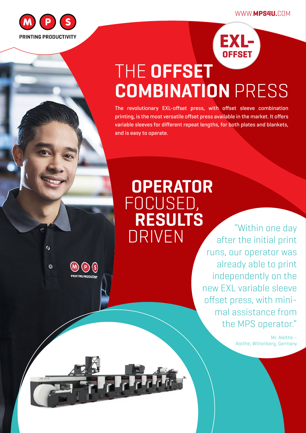WWW.**MPS4U.**COM



 $\ddot{\text{o}}$ 

**RINTING PRODUCT** 



# THE **OFFSET COMBINATION** PRESS

The revolutionary EXL-offset press, with offset sleeve combination printing, is the most versatile offset press available in the market. It offers variable sleeves for different repeat lengths, for both plates and blankets, and is easy to operate.

# **OPERATOR**  FOCUSED,  **RESULTS**

DRIVEN "Within one day after the initial print runs, our operator was already able to print independently on the new EXL variable sleeve offset press, with minimal assistance from the MPS operator."

> Mr. Aleithe – Aleithe, Wittenberg, Germany